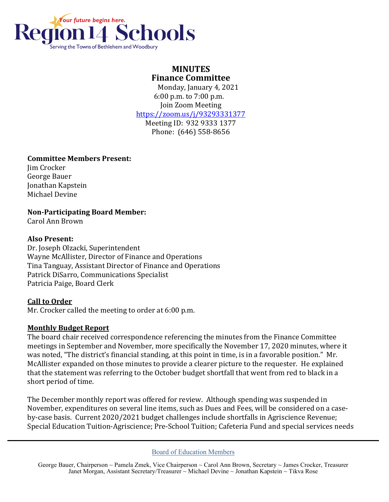

# **MINUTES Finance Committee**

 Monday, January 4, 2021 6:00 p.m. to 7:00 p.m. Join Zoom Meeting <https://zoom.us/j/93293331377>

Meeting ID: 932 9333 1377 Phone: (646) 558-8656

# **Committee Members Present:**

Jim Crocker George Bauer Jonathan Kapstein Michael Devine

**Non-Participating Board Member:**

Carol Ann Brown

# **Also Present:**

Dr. Joseph Olzacki, Superintendent Wayne McAllister, Director of Finance and Operations Tina Tanguay, Assistant Director of Finance and Operations Patrick DiSarro, Communications Specialist Patricia Paige, Board Clerk

# **Call to Order**

Mr. Crocker called the meeting to order at 6:00 p.m.

# **Monthly Budget Report**

The board chair received correspondence referencing the minutes from the Finance Committee meetings in September and November, more specifically the November 17, 2020 minutes, where it was noted, "The district's financial standing, at this point in time, is in a favorable position." Mr. McAllister expanded on those minutes to provide a clearer picture to the requester. He explained that the statement was referring to the October budget shortfall that went from red to black in a short period of time.

The December monthly report was offered for review. Although spending was suspended in November, expenditures on several line items, such as Dues and Fees, will be considered on a caseby-case basis. Current 2020/2021 budget challenges include shortfalls in Agriscience Revenue; Special Education Tuition-Agriscience; Pre-School Tuition; Cafeteria Fund and special services needs

#### Board of Education Members

George Bauer, Chairperson ~ Pamela Zmek, Vice Chairperson ~ Carol Ann Brown, Secretary ~ James Crocker, Treasurer Janet Morgan, Assistant Secretary/Treasurer ~ Michael Devine ~ Jonathan Kapstein ~ Tikva Rose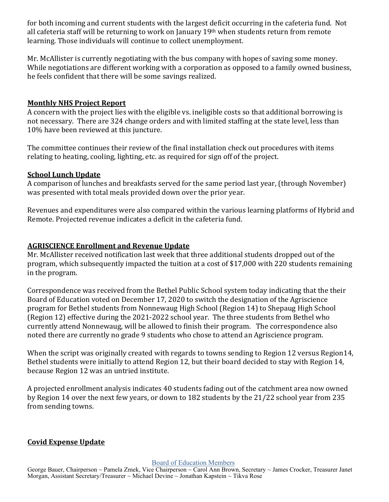for both incoming and current students with the largest deficit occurring in the cafeteria fund. Not all cafeteria staff will be returning to work on January 19<sup>th</sup> when students return from remote learning. Those individuals will continue to collect unemployment.

Mr. McAllister is currently negotiating with the bus company with hopes of saving some money. While negotiations are different working with a corporation as opposed to a family owned business, he feels confident that there will be some savings realized.

#### **Monthly NHS Project Report**

A concern with the project lies with the eligible vs. ineligible costs so that additional borrowing is not necessary. There are 324 change orders and with limited staffing at the state level, less than 10% have been reviewed at this juncture.

The committee continues their review of the final installation check out procedures with items relating to heating, cooling, lighting, etc. as required for sign off of the project.

### **School Lunch Update**

A comparison of lunches and breakfasts served for the same period last year, (through November) was presented with total meals provided down over the prior year.

Revenues and expenditures were also compared within the various learning platforms of Hybrid and Remote. Projected revenue indicates a deficit in the cafeteria fund.

### **AGRISCIENCE Enrollment and Revenue Update**

Mr. McAllister received notification last week that three additional students dropped out of the program, which subsequently impacted the tuition at a cost of \$17,000 with 220 students remaining in the program.

Correspondence was received from the Bethel Public School system today indicating that the their Board of Education voted on December 17, 2020 to switch the designation of the Agriscience program for Bethel students from Nonnewaug High School (Region 14) to Shepaug High School (Region 12) effective during the 2021-2022 school year. The three students from Bethel who currently attend Nonnewaug, will be allowed to finish their program. The correspondence also noted there are currently no grade 9 students who chose to attend an Agriscience program.

When the script was originally created with regards to towns sending to Region 12 versus Region14, Bethel students were initially to attend Region 12, but their board decided to stay with Region 14, because Region 12 was an untried institute.

A projected enrollment analysis indicates 40 students fading out of the catchment area now owned by Region 14 over the next few years, or down to 182 students by the 21/22 school year from 235 from sending towns.

# **Covid Expense Update**